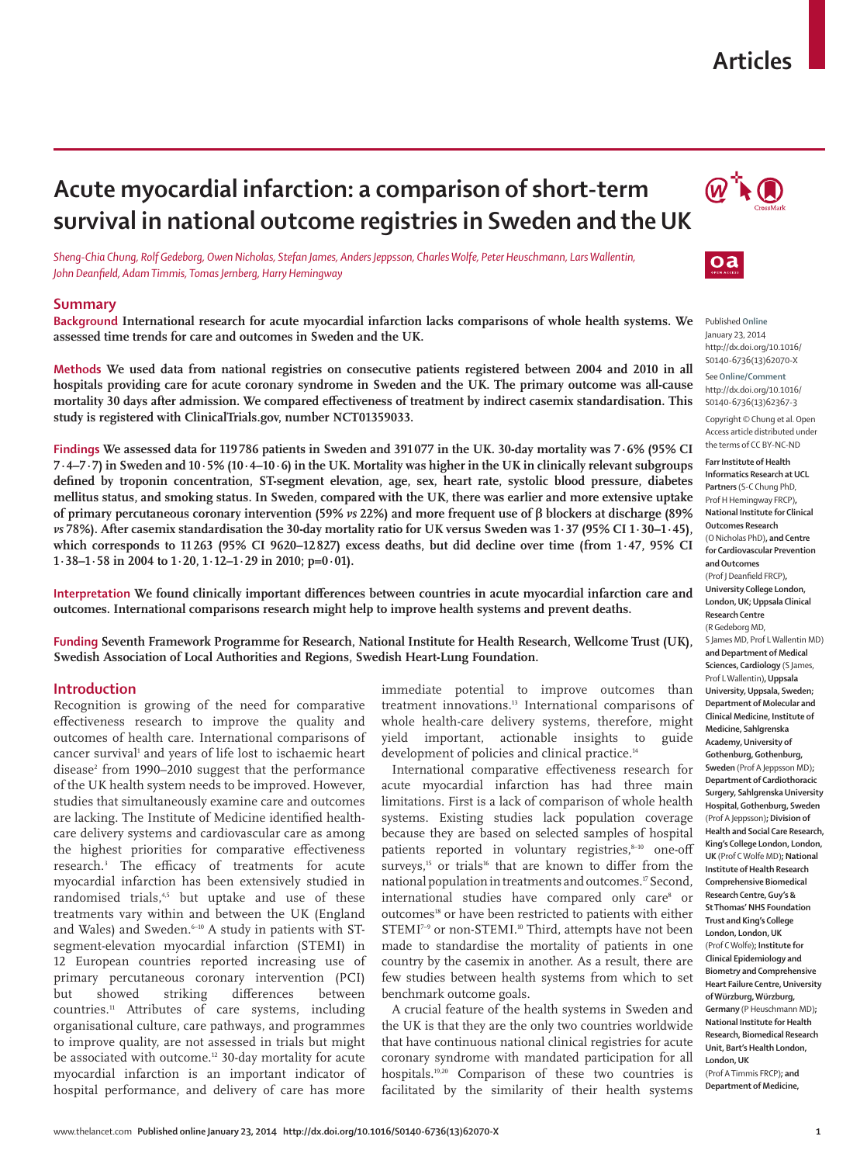## **Articles**

# **Acute myocardial infarction: a comparison of short-term survival in national outcome registries in Sweden and the UK**



*Sheng-Chia Chung, Rolf Gedeborg, Owen Nicholas, Stefan James, Anders Jeppsson, Charles Wolfe, Peter Heuschmann, Lars Wallentin, John Deanfield, Adam Timmis, Tomas Jernberg, Harry Hemingway* 

## **Summary**

**Background International research for acute myocardial infarction lacks comparisons of whole health systems. We assessed time trends for care and outcomes in Sweden and the UK.**

**Methods We used data from national registries on consecutive patients registered between 2004 and 2010 in all hospitals providing care for acute coronary syndrome in Sweden and the UK. The primary outcome was all-cause**  mortality 30 days after admission. We compared effectiveness of treatment by indirect casemix standardisation. This **study is registered with ClinicalTrials.gov, number NCT01359033.**

**Findings We assessed data for 119 786 patients in Sweden and 391 077 in the UK. 30-day mortality was 7·6% (95% CI 7·4–7·7) in Sweden and 10·5% (10·4–10·6) in the UK. Mortality was higher in the UK in clinically relevant subgroups defined by troponin concentration, ST-segment elevation, age, sex, heart rate, systolic blood pressure, diabetes mellitus status, and smoking status. In Sweden, compared with the UK, there was earlier and more extensive uptake of primary percutaneous coronary intervention (59%** *vs* **22%) and more frequent use of β blockers at discharge (89%**  *vs* **78%). After casemix standardisation the 30-day mortality ratio for UK versus Sweden was 1·37 (95% CI 1·30–1·45), which corresponds to 11 263 (95% CI 9620–12 827) excess deaths, but did decline over time (from 1·47, 95% CI 1·38–1·58 in 2004 to 1·20, 1·12–1·29 in 2010; p=0·01).**

**Interpretation** We found clinically important differences between countries in acute myocardial infarction care and **outcomes. International comparisons research might help to improve health systems and prevent deaths.**

**Funding Seventh Framework Programme for Research, National Institute for Health Research, Wellcome Trust (UK), Swedish Association of Local Authorities and Regions, Swedish Heart-Lung Foundation.**

#### **Introduction**

Recognition is growing of the need for comparative effectiveness research to improve the quality and outcomes of health care. International comparisons of cancer survival<sup>1</sup> and years of life lost to ischaemic heart disease<sup>2</sup> from 1990–2010 suggest that the performance of the UK health system needs to be improved. However, studies that simultaneously examine care and outcomes are lacking. The Institute of Medicine identified healthcare delivery systems and cardiovascular care as among the highest priorities for comparative effectiveness research.<sup>3</sup> The efficacy of treatments for acute myocardial infarction has been extensively studied in randomised trials,<sup>4,5</sup> but uptake and use of these treatments vary within and between the UK (England and Wales) and Sweden.<sup>6-10</sup> A study in patients with STsegment-elevation myocardial infarction (STEMI) in 12 European countries reported increasing use of primary percutaneous coronary intervention (PCI) but showed striking differences between countries.11 Attributes of care systems, including organisational culture, care pathways, and programmes to improve quality, are not assessed in trials but might be associated with outcome.<sup>12</sup> 30-day mortality for acute myocardial infarction is an important indicator of hospital performance, and delivery of care has more

immediate potential to improve outcomes than treatment innovations.13 International comparisons of whole health-care delivery systems, therefore, might yield important, actionable insights to guide development of policies and clinical practice.<sup>14</sup>

International comparative effectiveness research for acute myocardial infarction has had three main limitations. First is a lack of comparison of whole health systems. Existing studies lack population coverage because they are based on selected samples of hospital patients reported in voluntary registries, $8-10$  one-off surveys.<sup>15</sup> or trials<sup>16</sup> that are known to differ from the national population in treatments and outcomes.17 Second, international studies have compared only care<sup>s</sup> or outcomes<sup>18</sup> or have been restricted to patients with either STEMI<sup>7-9</sup> or non-STEMI.<sup>10</sup> Third, attempts have not been made to standardise the mortality of patients in one country by the casemix in another. As a result, there are few studies between health systems from which to set benchmark outcome goals.

A crucial feature of the health systems in Sweden and the UK is that they are the only two countries worldwide that have continuous national clinical registries for acute coronary syndrome with mandated participation for all hospitals.19,20 Comparison of these two countries is facilitated by the similarity of their health systems



Published **Online** January 23, 2014 http://dx.doi.org/10.1016/ S0140-6736(13)62070-X

See**Online/Comment** http://dx.doi.org/10.1016/ S0140-6736(13)62367-3

Copyright © Chung et al. Open Access article distributed under the terms of CC BY-NC-ND

**Farr Institute of Health Informatics Research at UCL Partners** (S-C Chung PhD, Prof H Hemingway FRCP)**, National Institute for Clinical Outcomes Research** (O Nicholas PhD)**, and Centre for Cardiovascular Prevention and Outcomes** (Prof I Deanfield FRCP). **University College London, London, UK; Uppsala Clinical Research Centre** (R Gedeborg MD, S James MD, Prof L Wallentin MD) **and Department of Medical Sciences, Cardiology** (S James, Prof L Wallentin)**, Uppsala University, Uppsala, Sweden; Department of Molecular and Clinical Medicine, Institute of Medicine, Sahlgrenska Academy, University of Gothenburg, Gothenburg, Sweden** (Prof A Jeppsson MD)**; Department of Cardiothoracic Surgery, Sahlgrenska University Hospital, Gothenburg, Sweden** (Prof A Jeppsson)**; Division of Health and Social Care Research, King's College London, London, UK** (Prof C Wolfe MD)**; National Institute of Health Research Comprehensive Biomedical Research Centre, Guy's & St Thomas' NHS Foundation Trust and King's College London, London, UK** (Prof C Wolfe)**; Institute for Clinical Epidemiology and Biometry and Comprehensive Heart Failure Centre, University of Würzburg, Würzburg, Germany** (P Heuschmann MD)**; National Institute for Health Research, Biomedical Research Unit, Bart's Health London, London, UK**

(Prof A Timmis FRCP)**; and Department of Medicine,**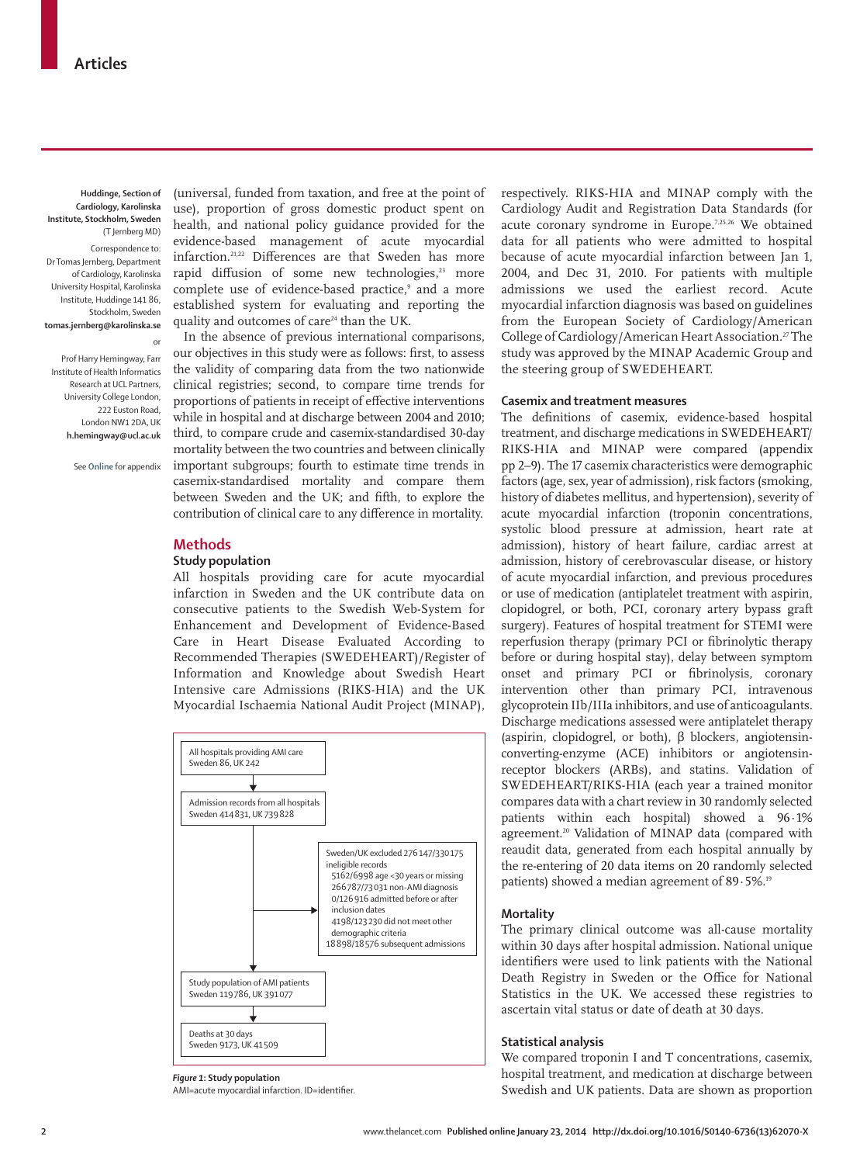**Huddinge, Section of Cardiology, Karolinska Institute, Stockholm, Sweden** (T Jernberg MD)

Correspondence to: Dr Tomas Jernberg, Department of Cardiology, Karolinska University Hospital, Karolinska Institute, Huddinge 141 86, Stockholm, Sweden **tomas.jernberg@karolinska.se**

Prof Harry Hemingway, Farr Institute of Health Informatics Research at UCL Partners, University College London, 222 Euston Road London NW1 2DA, UK **h.hemingway@ucl.ac.uk**

or

See **Online** for appendix

(universal, funded from taxation, and free at the point of use), proportion of gross domestic product spent on health, and national policy guidance provided for the evidence-based management of acute myocardial infarction. $21,22$  Differences are that Sweden has more rapid diffusion of some new technologies,<sup>23</sup> more complete use of evidence-based practice,<sup>9</sup> and a more established system for evaluating and reporting the quality and outcomes of care<sup>24</sup> than the UK.

In the absence of previous international comparisons, our objectives in this study were as follows: first, to assess the validity of comparing data from the two nationwide clinical registries; second, to compare time trends for proportions of patients in receipt of effective interventions while in hospital and at discharge between 2004 and 2010; third, to compare crude and casemix-standardised 30-day mortality between the two countries and between clinically important subgroups; fourth to estimate time trends in casemix-standardised mortality and compare them between Sweden and the UK; and fifth, to explore the contribution of clinical care to any difference in mortality.

#### **Methods**

#### **Study population**

All hospitals providing care for acute myocardial infarction in Sweden and the UK contribute data on consecutive patients to the Swedish Web-System for Enhancement and Development of Evidence-Based Care in Heart Disease Evaluated According to Recommended Therapies (SWEDEHEART)/Register of Information and Knowledge about Swedish Heart Intensive care Admissions (RIKS-HIA) and the UK Myocardial Ischaemia National Audit Project (MINAP),



*Figure 1***: Study population**

AMI=acute myocardial infarction. ID=identifier

respectively. RIKS-HIA and MINAP comply with the Cardiology Audit and Registration Data Standards (for acute coronary syndrome in Europe.7,25,26 We obtained data for all patients who were admitted to hospital because of acute myocardial infarction between Jan 1, 2004, and Dec 31, 2010. For patients with multiple admissions we used the earliest record. Acute myocardial infarction diagnosis was based on guidelines from the European Society of Cardiology/American College of Cardiology/American Heart Association.<sup>27</sup> The study was approved by the MINAP Academic Group and the steering group of SWEDEHEART.

## **Casemix and treatment measures**

The definitions of casemix, evidence-based hospital treatment, and discharge medications in SWEDEHEART/ RIKS-HIA and MINAP were compared (appendix pp 2–9). The 17 casemix characteristics were demographic factors (age, sex, year of admission), risk factors (smoking, history of diabetes mellitus, and hypertension), severity of acute myocardial infarction (troponin concentrations, systolic blood pressure at admission, heart rate at admission), history of heart failure, cardiac arrest at admission, history of cerebrovascular disease, or history of acute myocardial infarction, and previous procedures or use of medication (antiplatelet treatment with aspirin, clopidogrel, or both, PCI, coronary artery bypass graft surgery). Features of hospital treatment for STEMI were reperfusion therapy (primary PCI or fibrinolytic therapy before or during hospital stay), delay between symptom onset and primary PCI or fibrinolysis, coronary intervention other than primary PCI, intravenous glycoprotein IIb/IIIa inhibitors, and use of anticoagulants. Discharge medications assessed were antiplatelet therapy (aspirin, clopidogrel, or both), β blockers, angiotensinconverting-enzyme (ACE) inhibitors or angiotensinreceptor blockers (ARBs), and statins. Validation of SWEDEHEART/RIKS-HIA (each year a trained monitor compares data with a chart review in 30 randomly selected patients within each hospital) showed a 96·1% agreement.<sup>20</sup> Validation of MINAP data (compared with reaudit data, generated from each hospital annually by the re-entering of 20 data items on 20 randomly selected patients) showed a median agreement of 89·5%.19

### **Mortality**

The primary clinical outcome was all-cause mortality within 30 days after hospital admission. National unique identifiers were used to link patients with the National Death Registry in Sweden or the Office for National Statistics in the UK. We accessed these registries to ascertain vital status or date of death at 30 days.

## **Statistical analysis**

We compared troponin I and T concentrations, casemix, hospital treatment, and medication at discharge between Swedish and UK patients. Data are shown as proportion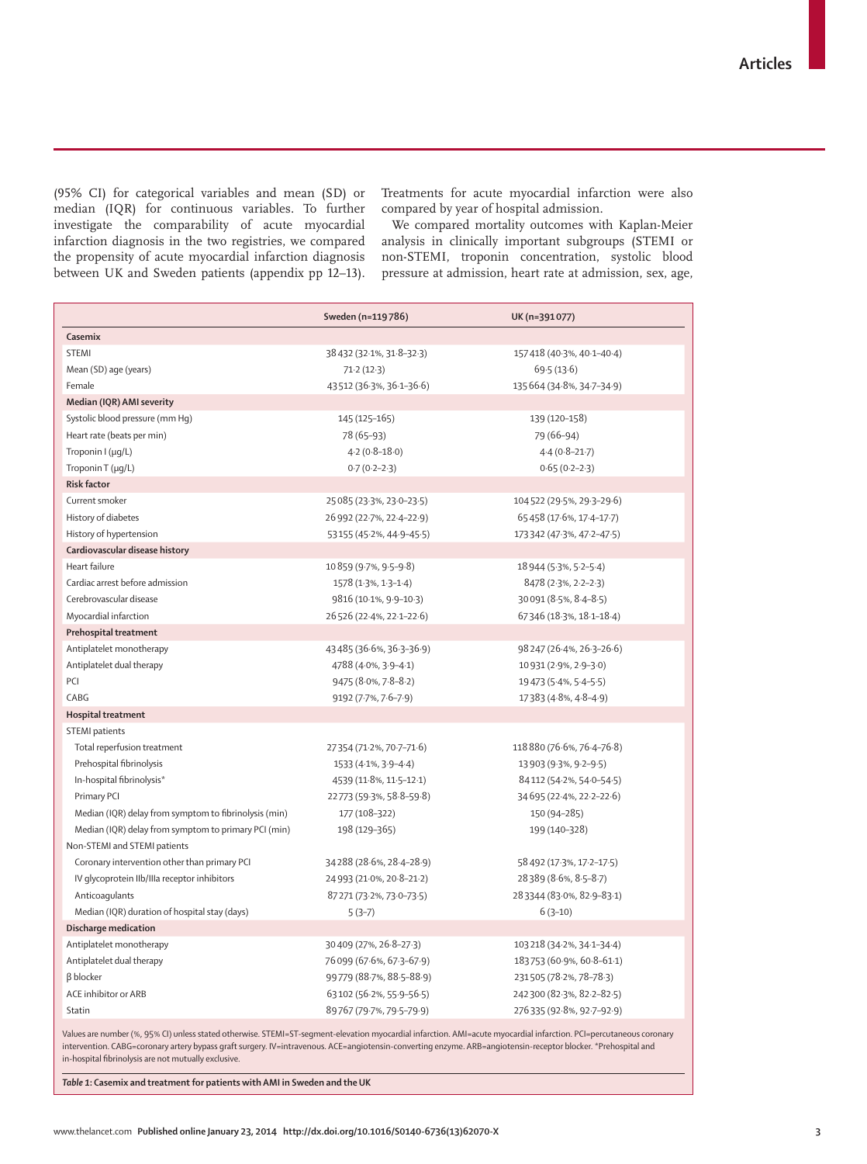(95% CI) for categorical variables and mean (SD) or median (IQR) for continuous variables. To further investigate the comparability of acute myocardial infarction diagnosis in the two registries, we compared the propensity of acute myocardial infarction diagnosis between UK and Sweden patients (appendix pp 12–13). Treatments for acute myocardial infarction were also compared by year of hospital admission.

We compared mortality outcomes with Kaplan-Meier analysis in clinically important subgroups (STEMI or non-STEMI, troponin concentration, systolic blood pressure at admission, heart rate at admission, sex, age,

|                                                       | Sweden (n=119786)         | UK (n=391077)                      |
|-------------------------------------------------------|---------------------------|------------------------------------|
| Casemix                                               |                           |                                    |
| <b>STEMI</b>                                          | 38 432 (32.1%, 31.8-32.3) | 157418 (40.3%, 40.1-40.4)          |
| Mean (SD) age (years)                                 | 71.2(12.3)                | 69.5(13.6)                         |
| Female                                                | 43 512 (36.3%, 36.1-36.6) | 135 664 (34 8%, 34 7 - 34 9)       |
| Median (IQR) AMI severity                             |                           |                                    |
| Systolic blood pressure (mm Hq)                       | 145 (125-165)             | 139 (120-158)                      |
| Heart rate (beats per min)                            | 78 (65-93)                | 79 (66-94)                         |
| Troponin I (µg/L)                                     | $4.2(0.8-18.0)$           | $4.4(0.8-21.7)$                    |
| Troponin T (µq/L)                                     | $0.7(0.2 - 2.3)$          | $0.65(0.2-2.3)$                    |
| <b>Risk factor</b>                                    |                           |                                    |
| Current smoker                                        | 25 085 (23.3%, 23.0-23.5) | 104 522 (29.5%, 29.3-29.6)         |
| History of diabetes                                   | 26 992 (22.7%, 22.4–22.9) | 65 458 (17.6%, 17.4-17.7)          |
| History of hypertension                               | 53 155 (45-2%, 44-9-45-5) | 173 342 (47 - 3%, 47 - 2 - 47 - 5) |
| Cardiovascular disease history                        |                           |                                    |
| Heart failure                                         | 10 859 (9.7%, 9.5-9.8)    | 18 944 (5.3%, 5.2-5.4)             |
| Cardiac arrest before admission                       | 1578 (1.3%, 1.3-1.4)      | 8478 (2.3%, 2.2-2.3)               |
| Cerebrovascular disease                               | 9816 (10.1%, 9.9-10.3)    | 30091 (8.5%, 8.4-8.5)              |
| Myocardial infarction                                 | 26 526 (22.4%, 22.1-22.6) | 67346 (18.3%, 18.1-18.4)           |
| Prehospital treatment                                 |                           |                                    |
| Antiplatelet monotherapy                              | 43 485 (36.6%, 36.3-36.9) | 98247 (26-4%, 26-3-26-6)           |
| Antiplatelet dual therapy                             | 4788 (4.0%, 3.9-4.1)      | 10931 (2.9%, 2.9-3.0)              |
| PCI                                                   | 9475 (8.0%, 7.8-8.2)      | 19 473 (5-4%, 5-4-5-5)             |
| CABG                                                  | 9192 (7.7%, 7.6-7.9)      | 17383 (4.8%, 4.8-4.9)              |
| Hospital treatment                                    |                           |                                    |
| <b>STEMI</b> patients                                 |                           |                                    |
| Total reperfusion treatment                           | 27354 (71.2%, 70.7–71.6)  | 118 880 (76.6%, 76.4-76.8)         |
| Prehospital fibrinolysis                              | 1533 (4.1%, 3.9-4.4)      | 13 903 (9.3%, 9.2-9.5)             |
| In-hospital fibrinolysis*                             | 4539 (11.8%, 11.5-12.1)   | 84 112 (54-2%, 54-0-54-5)          |
| Primary PCI                                           | 22 773 (59.3%, 58.8-59.8) | 34695 (22.4%, 22.2-22.6)           |
| Median (IQR) delay from symptom to fibrinolysis (min) | 177 (108-322)             | 150 (94-285)                       |
| Median (IQR) delay from symptom to primary PCI (min)  | 198 (129-365)             | 199 (140-328)                      |
| Non-STEMI and STEMI patients                          |                           |                                    |
| Coronary intervention other than primary PCI          | 34288 (28.6%, 28.4-28.9)  | 58 492 (17.3%, 17.2–17.5)          |
| IV glycoprotein IIb/IIIa receptor inhibitors          | 24 993 (21.0%, 20.8-21.2) | 28389 (8.6%, 8.5-8.7)              |
| Anticoaqulants                                        | 87 271 (73.2%, 73.0-73.5) | 283344 (83.0%, 82.9-83.1)          |
| Median (IQR) duration of hospital stay (days)         | $5(3-7)$                  | $6(3-10)$                          |
| Discharge medication                                  |                           |                                    |
| Antiplatelet monotherapy                              | 30 409 (27%, 26-8-27-3)   | 103 218 (34-2%, 34-1-34-4)         |
| Antiplatelet dual therapy                             | 76 099 (67.6%, 67.3–67.9) | 183753 (60.9%, 60.8-61.1)          |
| <b>B</b> blocker                                      | 99779 (88-7%, 88-5-88-9)  | 231505 (78.2%, 78-78.3)            |
| ACE inhibitor or ARB                                  | 63102 (56.2%, 55.9-56.5)  | 242300 (82.3%, 82.2-82.5)          |
| Statin                                                | 89767 (79.7%, 79.5-79.9)  | 276335 (92.8%, 92.7-92.9)          |

Values are number (%, 95% CI) unless stated otherwise. STEMI=ST-segment-elevation myocardial infarction. AMI=acute myocardial infarction. PCI=percutaneous coronary intervention. CABG=coronary artery bypass graft surgery. IV=intravenous. ACE=angiotensin-converting enzyme. ARB=angiotensin-receptor blocker. \*Prehospital and in-hospital fibrinolysis are not mutually exclusive.

*Table 1***: Casemix and treatment for patients with AMI in Sweden and the UK**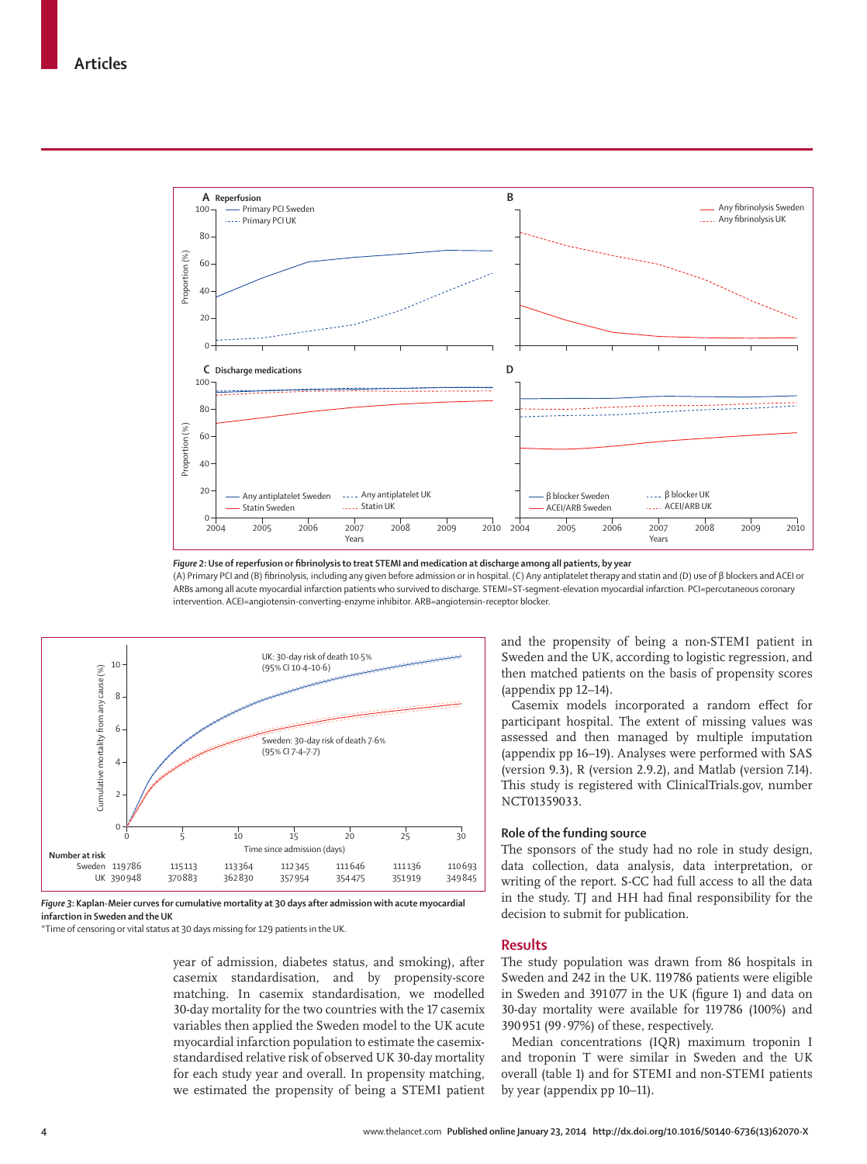

Figure 2: Use of reperfusion or fibrinolysis to treat STEMI and medication at discharge among all patients, by year

(A) Primary PCI and (B) fi brinolysis, including any given before admission or in hospital. (C) Any antiplatelet therapy and statin and (D) use of β blockers and ACEI or ARBs among all acute myocardial infarction patients who survived to discharge. STEMI=ST-segment-elevation myocardial infarction. PCI=percutaneous coronary intervention. ACEI=angiotensin-converting-enzyme inhibitor. ARB=angiotensin-receptor blocker.



*Figure 3***: Kaplan-Meier curves for cumulative mortality at 30 days after admission with acute myocardial infarction in Sweden and the UK**

\*Time of censoring or vital status at 30 days missing for 129 patients in the UK.

year of admission, diabetes status, and smoking), after casemix standardisation, and by propensity-score matching. In casemix standardisation, we modelled 30-day mortality for the two countries with the 17 casemix variables then applied the Sweden model to the UK acute myocardial infarction population to estimate the casemixstandardised relative risk of observed UK 30-day mortality for each study year and overall. In propensity matching, we estimated the propensity of being a STEMI patient and the propensity of being a non-STEMI patient in Sweden and the UK, according to logistic regression, and then matched patients on the basis of propensity scores (appendix pp 12–14).

Casemix models incorporated a random effect for participant hospital. The extent of missing values was assessed and then managed by multiple imputation (appendix pp 16–19). Analyses were performed with SAS (version 9.3), R (version 2.9.2), and Matlab (version 7.14). This study is registered with ClinicalTrials.gov, number NCT01359033.

### **Role of the funding source**

The sponsors of the study had no role in study design, data collection, data analysis, data interpretation, or writing of the report. S-CC had full access to all the data in the study. TJ and HH had final responsibility for the decision to submit for publication.

### **Results**

The study population was drawn from 86 hospitals in Sweden and 242 in the UK. 119 786 patients were eligible in Sweden and 391077 in the UK (figure 1) and data on 30-day mortality were available for 119 786 (100%) and 390 951 (99·97%) of these, respectively.

Median concentrations (IQR) maximum troponin I and troponin T were similar in Sweden and the UK overall (table 1) and for STEMI and non-STEMI patients by year (appendix pp 10–11).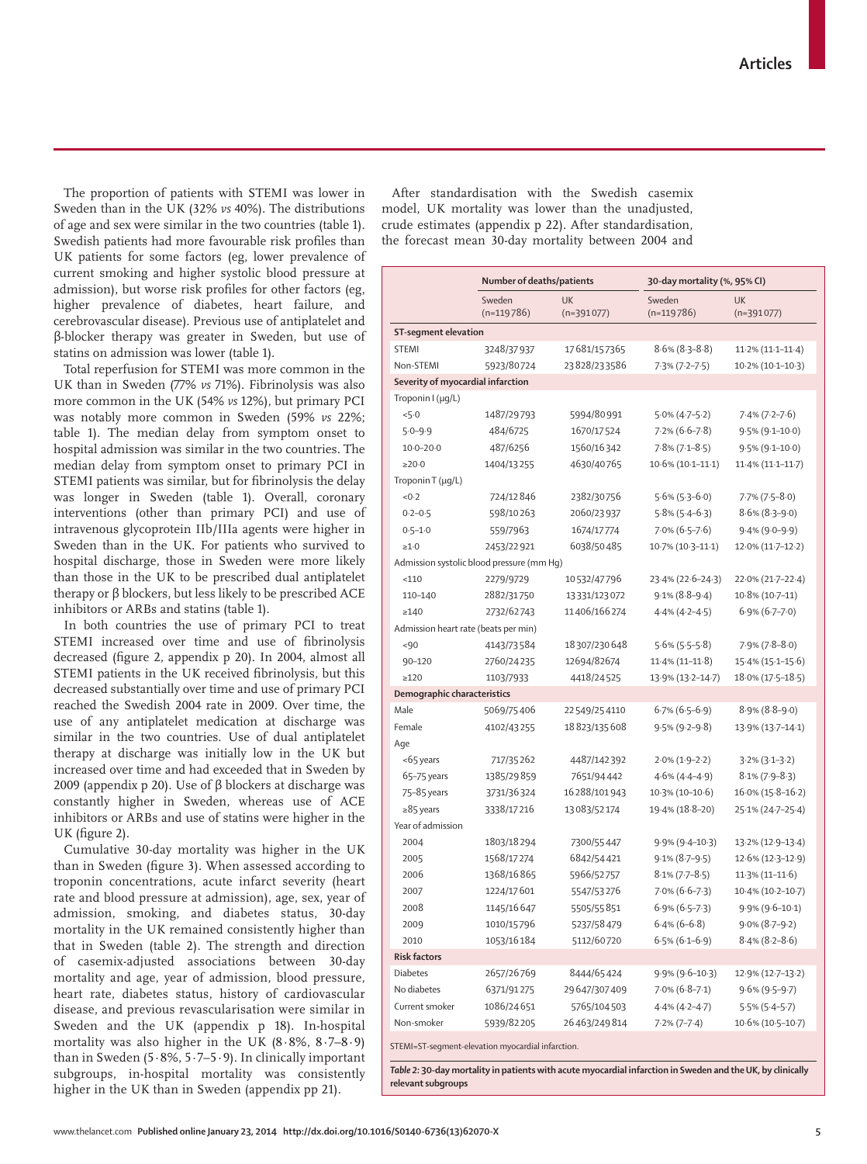The proportion of patients with STEMI was lower in Sweden than in the UK (32% *vs* 40%). The distributions of age and sex were similar in the two countries (table 1). Swedish patients had more favourable risk profiles than UK patients for some factors (eg, lower prevalence of current smoking and higher systolic blood pressure at admission), but worse risk profiles for other factors (eg, higher prevalence of diabetes, heart failure, and cerebrovascular disease). Previous use of antiplatelet and β-blocker therapy was greater in Sweden, but use of statins on admission was lower (table 1).

Total reperfusion for STEMI was more common in the UK than in Sweden (77% *vs* 71%). Fibrinolysis was also more common in the UK (54% *vs* 12%), but primary PCI was notably more common in Sweden (59% *vs* 22%; table 1). The median delay from symptom onset to hospital admission was similar in the two countries. The median delay from symptom onset to primary PCI in STEMI patients was similar, but for fibrinolysis the delay was longer in Sweden (table 1). Overall, coronary interventions (other than primary PCI) and use of intravenous glycoprotein IIb/IIIa agents were higher in Sweden than in the UK. For patients who survived to hospital discharge, those in Sweden were more likely than those in the UK to be prescribed dual antiplatelet therapy or β blockers, but less likely to be prescribed ACE inhibitors or ARBs and statins (table 1).

In both countries the use of primary PCI to treat STEMI increased over time and use of fibrinolysis decreased (figure 2, appendix p 20). In 2004, almost all STEMI patients in the UK received fibrinolysis, but this decreased substantially over time and use of primary PCI reached the Swedish 2004 rate in 2009. Over time, the use of any antiplatelet medication at discharge was similar in the two countries. Use of dual antiplatelet therapy at discharge was initially low in the UK but increased over time and had exceeded that in Sweden by 2009 (appendix p 20). Use of β blockers at discharge was constantly higher in Sweden, whereas use of ACE inhibitors or ARBs and use of statins were higher in the UK (figure 2).

Cumulative 30-day mortality was higher in the UK than in Sweden (figure 3). When assessed according to troponin concentrations, acute infarct severity (heart rate and blood pressure at admission), age, sex, year of admission, smoking, and diabetes status, 30-day mortality in the UK remained consistently higher than that in Sweden (table 2). The strength and direction of casemix-adjusted associations between 30-day mortality and age, year of admission, blood pressure, heart rate, diabetes status, history of cardiovascular disease, and previous revascularisation were similar in Sweden and the UK (appendix p 18). In-hospital mortality was also higher in the UK (8·8%, 8·7–8·9) than in Sweden  $(5.8\%, 5.7-5.9)$ . In clinically important subgroups, in-hospital mortality was consistently higher in the UK than in Sweden (appendix pp 21).

After standardisation with the Swedish casemix model, UK mortality was lower than the unadjusted, crude estimates (appendix p 22). After standardisation, the forecast mean 30-day mortality between 2004 and

|                                                                                                                                                                 | Number of deaths/patients |                           | 30-day mortality (%, 95% CI) |                         |  |  |  |
|-----------------------------------------------------------------------------------------------------------------------------------------------------------------|---------------------------|---------------------------|------------------------------|-------------------------|--|--|--|
|                                                                                                                                                                 | Sweden<br>$(n=119786)$    | <b>UK</b><br>$(n=391077)$ | Sweden<br>$(n=119786)$       | UK<br>$(n=391077)$      |  |  |  |
| ST-segment elevation                                                                                                                                            |                           |                           |                              |                         |  |  |  |
| STEMI                                                                                                                                                           | 3248/37937                | 17681/157365              | $8.6\%$ (8.3–8.8)            | $11.2\% (11.1 - 11.4)$  |  |  |  |
| Non-STEMI                                                                                                                                                       | 5923/80724                | 23828/233586              | $7.3\%$ (7.2-7.5)            | $10.2\% (10.1 - 10.3)$  |  |  |  |
| Severity of myocardial infarction                                                                                                                               |                           |                           |                              |                         |  |  |  |
| Troponin I (µg/L)                                                                                                                                               |                           |                           |                              |                         |  |  |  |
| $5-0$                                                                                                                                                           | 1487/29793                | 5994/80991                | $5.0\%$ (4.7-5.2)            | $7.4\% (7.2 - 7.6)$     |  |  |  |
| $5.0 - 9.9$                                                                                                                                                     | 484/6725                  | 1670/17524                | $7.2\%$ (6.6–7.8)            | $9.5\%$ (9.1–10.0)      |  |  |  |
| $10.0 - 20.0$                                                                                                                                                   | 487/6256                  | 1560/16342                | $7.8\%$ (7.1–8.5)            | $9.5\%$ ( $9.1-10.0$ )  |  |  |  |
| $\geq$ 20 $\cdot$ 0                                                                                                                                             | 1404/13255                | 4630/40765                | $10.6\% (10.1 - 11.1)$       | $11.4\% (11.1 - 11.7)$  |  |  |  |
| Troponin T (µg/L)                                                                                                                                               |                           |                           |                              |                         |  |  |  |
| <0.2                                                                                                                                                            | 724/12846                 | 2382/30756                | $5.6\%$ (5.3–6.0)            | $7.7\%$ (7 $-5-8.0$ )   |  |  |  |
| $0.2 - 0.5$                                                                                                                                                     | 598/10263                 | 2060/23937                | $5.8\%$ (5.4–6.3)            | $8.6\%$ ( $8.3 - 9.0$ ) |  |  |  |
| $0.5 - 1.0$                                                                                                                                                     | 559/7963                  | 1674/17774                | $7.0\%$ (6.5–7.6)            | $9.4\%$ (9.0-9.9)       |  |  |  |
| $\geq 1.0$                                                                                                                                                      | 2453/22921                | 6038/50485                | 10.7% (10.3-11.1)            | 12.0% (11.7-12.2)       |  |  |  |
| Admission systolic blood pressure (mm Hq)                                                                                                                       |                           |                           |                              |                         |  |  |  |
| < 110                                                                                                                                                           | 2279/9729                 | 10532/47796               | 23.4% (22.6-24.3)            | 22.0% (21.7-22.4)       |  |  |  |
| 110-140                                                                                                                                                         | 2882/31750                | 13 3 3 1 / 12 3 0 7 2     | $9.1\% (8.8 - 9.4)$          | 10.8% (10.7-11)         |  |  |  |
| >140                                                                                                                                                            | 2732/62743                | 11406/166274              | $4.4\%$ (4.2-4.5)            | $6.9\%$ $(6.7 - 7.0)$   |  |  |  |
| Admission heart rate (beats per min)                                                                                                                            |                           |                           |                              |                         |  |  |  |
| < 90                                                                                                                                                            | 4143/73584                | 18307/230648              | $5.6\%$ (5.5-5.8)            | $7.9\%$ (7 $.8-8.0$ )   |  |  |  |
| 90-120                                                                                                                                                          | 2760/24235                | 12694/82674               | $11.4\% (11-11.8)$           | 15.4% (15.1-15.6)       |  |  |  |
| >120                                                                                                                                                            | 1103/7933                 | 4418/24525                | 13.9% (13.2-14.7)            | 18.0% (17.5-18.5)       |  |  |  |
| Demographic characteristics                                                                                                                                     |                           |                           |                              |                         |  |  |  |
| Male                                                                                                                                                            | 5069/75406                | 22 549/25 4110            | $6.7\%$ (6.5–6.9)            | $8.9\%$ ( $8.8-9.0$ )   |  |  |  |
| Female                                                                                                                                                          | 4102/43255                | 18823/135608              | $9.5\%$ (9.2–9.8)            | 13.9% (13.7-14.1)       |  |  |  |
| Aqe                                                                                                                                                             |                           |                           |                              |                         |  |  |  |
| <65 years                                                                                                                                                       | 717/35262                 | 4487/142392               | $2.0\%$ (1.9-2.2)            | $3.2\%$ ( $3.1-3.2$ )   |  |  |  |
| 65-75 years                                                                                                                                                     | 1385/29859                | 7651/94442                | $4.6\%$ ( $4.4 - 4.9$ )      | $8.1\%$ (7.9-8.3)       |  |  |  |
| 75-85 years                                                                                                                                                     | 3731/36324                | 16288/101943              | 10.3% (10-10.6)              | 16.0% (15.8–16.2)       |  |  |  |
| $\geq$ 85 years                                                                                                                                                 | 3338/17216                | 13083/52174               | 19.4% (18.8–20)              | 25-1% (24-7-25-4)       |  |  |  |
| Year of admission                                                                                                                                               |                           |                           |                              |                         |  |  |  |
| 2004                                                                                                                                                            | 1803/18294                | 7300/55447                | $9.9\%$ (9.4-10.3)           | 13.2% (12.9-13.4)       |  |  |  |
| 2005                                                                                                                                                            | 1568/17274                | 6842/54421                | $9.1\% (8.7 - 9.5)$          | $12.6\% (12.3 - 12.9)$  |  |  |  |
| 2006                                                                                                                                                            | 1368/16865                | 5966/52757                | $8.1\%$ (7.7-8.5)            | $11.3\%$ (11-11.6)      |  |  |  |
| 2007                                                                                                                                                            | 1224/17601                | 5547/53276                | $7.0\%$ (6.6-7.3)            | 10.4% (10.2-10.7)       |  |  |  |
| 2008                                                                                                                                                            | 1145/16 647               | 5505/55851                | $6.9\%$ (6.5-7.3)            | $9.9\%$ ( $9.6-10.1$ )  |  |  |  |
| 2009                                                                                                                                                            | 1010/15796                | 5237/58 479               | $6.4\%$ (6-6.8)              | $9.0\% (8.7 - 9.2)$     |  |  |  |
| 2010                                                                                                                                                            | 1053/16 184               | 5112/60720                | $6.5\%$ (6.1-6.9)            | $8.4\%$ ( $8.2 - 8.6$ ) |  |  |  |
| <b>Risk factors</b>                                                                                                                                             |                           |                           |                              |                         |  |  |  |
| <b>Diabetes</b>                                                                                                                                                 | 2657/26769                | 8444/65424                | $9.9\%$ (9.6–10.3)           | 12.9% (12.7-13.2)       |  |  |  |
| No diabetes                                                                                                                                                     | 6371/91275                | 29 647/307 409            | $7.0\% (6.8–7.1)$            | $9.6\%$ (9.5-9.7)       |  |  |  |
| Current smoker                                                                                                                                                  | 1086/24651                | 5765/104503               | $4.4\%$ (4.2-4.7)            | $5.5\%$ (5.4-5.7)       |  |  |  |
| Non-smoker                                                                                                                                                      | 5939/82205                | 26463/249814              | $7.2\% (7-7.4)$              | 10.6% (10.5-10.7)       |  |  |  |
| STEMI=ST-seqment-elevation myocardial infarction.<br>Table 2:20, day mortality in patients with acute myocardial infarction in Sweden and the UK, by clinically |                           |                           |                              |                         |  |  |  |

*Table 2:* **30-day mortality in patients with acute myocardial infarction in Sweden and the UK, by clinically relevant subgroups**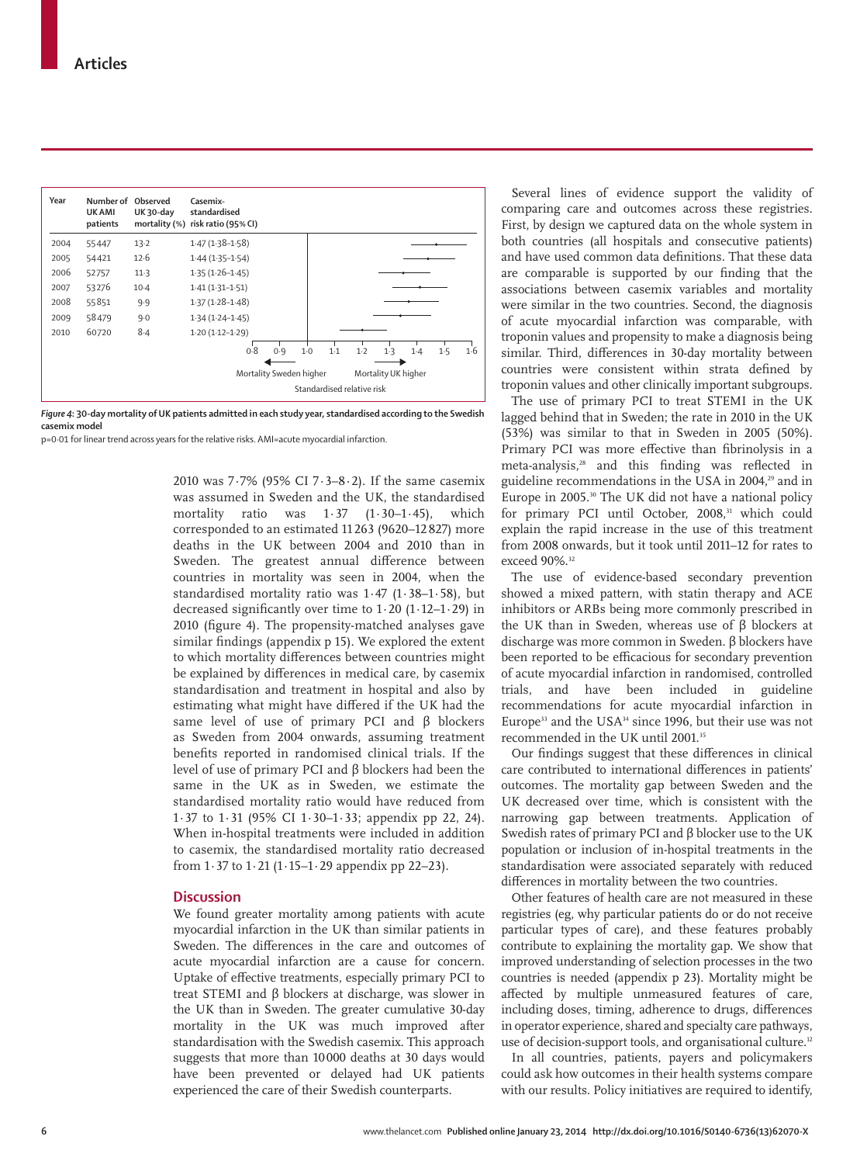| Year | Number of Observed<br><b>UK AMI</b><br>patients | <b>UK30-day</b> | Casemix-<br>standardised<br>mortality (%) risk ratio (95% CI) |                         |              |       |                     |     |     |     |
|------|-------------------------------------------------|-----------------|---------------------------------------------------------------|-------------------------|--------------|-------|---------------------|-----|-----|-----|
| 2004 | 55447                                           | 13.2            | $1.47(1.38-1.58)$                                             |                         |              |       |                     |     |     |     |
| 2005 | 54421                                           | 12.6            | $1.44(1.35-1.54)$                                             |                         |              |       |                     |     |     |     |
| 2006 | 52757                                           | $11-3$          | $1.35(1.26 - 1.45)$                                           |                         |              |       |                     |     |     |     |
| 2007 | 53276                                           | $10-4$          | $1.41(1.31 - 1.51)$                                           |                         |              |       |                     |     |     |     |
| 2008 | 55851                                           | 9.9             | $1.37(1.28 - 1.48)$                                           |                         |              |       |                     |     |     |     |
| 2009 | 58479                                           | 9.0             | $1.34(1.24 - 1.45)$                                           |                         |              |       |                     |     |     |     |
| 2010 | 60720                                           | $8-4$           | $1.20(1.12 - 1.29)$                                           |                         |              |       |                     |     |     |     |
|      |                                                 |                 | 0.8                                                           | 0.9                     | 1.1<br>$1-0$ | $1-2$ | 1.3                 | 1.4 | 1.5 | 1·6 |
|      |                                                 |                 |                                                               | Mortality Sweden higher |              |       | Mortality UK higher |     |     |     |
|      |                                                 |                 | Standardised relative risk                                    |                         |              |       |                     |     |     |     |

*Figure 4***: 30-day mortality of UK patients admitted in each study year, standardised according to the Swedish casemix model**

p=0·01 for linear trend across years for the relative risks. AMI=acute myocardial infarction.

2010 was 7·7% (95% CI 7·3–8·2). If the same casemix was assumed in Sweden and the UK, the standardised<br>mortality ratio was 1.37 (1.30–1.45), which mortality ratio was 1·37 (1·30–1·45), which corresponded to an estimated 11 263 (9620–12 827) more deaths in the UK between 2004 and 2010 than in Sweden. The greatest annual difference between countries in mortality was seen in 2004, when the standardised mortality ratio was 1·47 (1·38–1·58), but decreased significantly over time to  $1.20$  ( $1.12-1.29$ ) in 2010 (figure 4). The propensity-matched analyses gave similar findings (appendix p 15). We explored the extent to which mortality differences between countries might be explained by differences in medical care, by casemix standardisation and treatment in hospital and also by estimating what might have differed if the UK had the same level of use of primary PCI and β blockers as Sweden from 2004 onwards, assuming treatment benefits reported in randomised clinical trials. If the level of use of primary PCI and β blockers had been the same in the UK as in Sweden, we estimate the standardised mortality ratio would have reduced from 1·37 to 1·31 (95% CI 1·30–1·33; appendix pp 22, 24). When in-hospital treatments were included in addition to casemix, the standardised mortality ratio decreased from 1·37 to 1·21 (1·15–1·29 appendix pp 22–23).

## **Discussion**

We found greater mortality among patients with acute myocardial infarction in the UK than similar patients in Sweden. The differences in the care and outcomes of acute myocardial infarction are a cause for concern. Uptake of effective treatments, especially primary PCI to treat STEMI and β blockers at discharge, was slower in the UK than in Sweden. The greater cumulative 30-day mortality in the UK was much improved after standardisation with the Swedish casemix. This approach suggests that more than 10 000 deaths at 30 days would have been prevented or delayed had UK patients experienced the care of their Swedish counterparts.

Several lines of evidence support the validity of comparing care and outcomes across these registries. First, by design we captured data on the whole system in both countries (all hospitals and consecutive patients) and have used common data definitions. That these data are comparable is supported by our finding that the associations between casemix variables and mortality were similar in the two countries. Second, the diagnosis of acute myocardial infarction was comparable, with troponin values and propensity to make a diagnosis being similar. Third, differences in 30-day mortality between countries were consistent within strata defined by troponin values and other clinically important subgroups.

The use of primary PCI to treat STEMI in the UK lagged behind that in Sweden; the rate in 2010 in the UK (53%) was similar to that in Sweden in 2005 (50%). Primary PCI was more effective than fibrinolysis in a meta-analysis,<sup>28</sup> and this finding was reflected in guideline recommendations in the USA in 2004,<sup>29</sup> and in Europe in 2005.<sup>30</sup> The UK did not have a national policy for primary PCI until October, 2008,<sup>31</sup> which could explain the rapid increase in the use of this treatment from 2008 onwards, but it took until 2011–12 for rates to exceed 90%.32

The use of evidence-based secondary prevention showed a mixed pattern, with statin therapy and ACE inhibitors or ARBs being more commonly prescribed in the UK than in Sweden, whereas use of β blockers at discharge was more common in Sweden. β blockers have been reported to be efficacious for secondary prevention of acute myocardial infarction in randomised, controlled trials, and have been included in guideline recommendations for acute myocardial infarction in Europe<sup>33</sup> and the USA<sup>34</sup> since 1996, but their use was not recommended in the UK until 2001.<sup>35</sup>

Our findings suggest that these differences in clinical care contributed to international differences in patients' outcomes. The mortality gap between Sweden and the UK decreased over time, which is consistent with the narrowing gap between treatments. Application of Swedish rates of primary PCI and β blocker use to the UK population or inclusion of in-hospital treatments in the standardisation were associated separately with reduced differences in mortality between the two countries.

Other features of health care are not measured in these registries (eg, why particular patients do or do not receive particular types of care), and these features probably contribute to explaining the mortality gap. We show that improved understanding of selection processes in the two countries is needed (appendix p 23). Mortality might be affected by multiple unmeasured features of care, including doses, timing, adherence to drugs, differences in operator experience, shared and specialty care pathways, use of decision-support tools, and organisational culture.<sup>12</sup>

In all countries, patients, payers and policymakers could ask how outcomes in their health systems compare with our results. Policy initiatives are required to identify,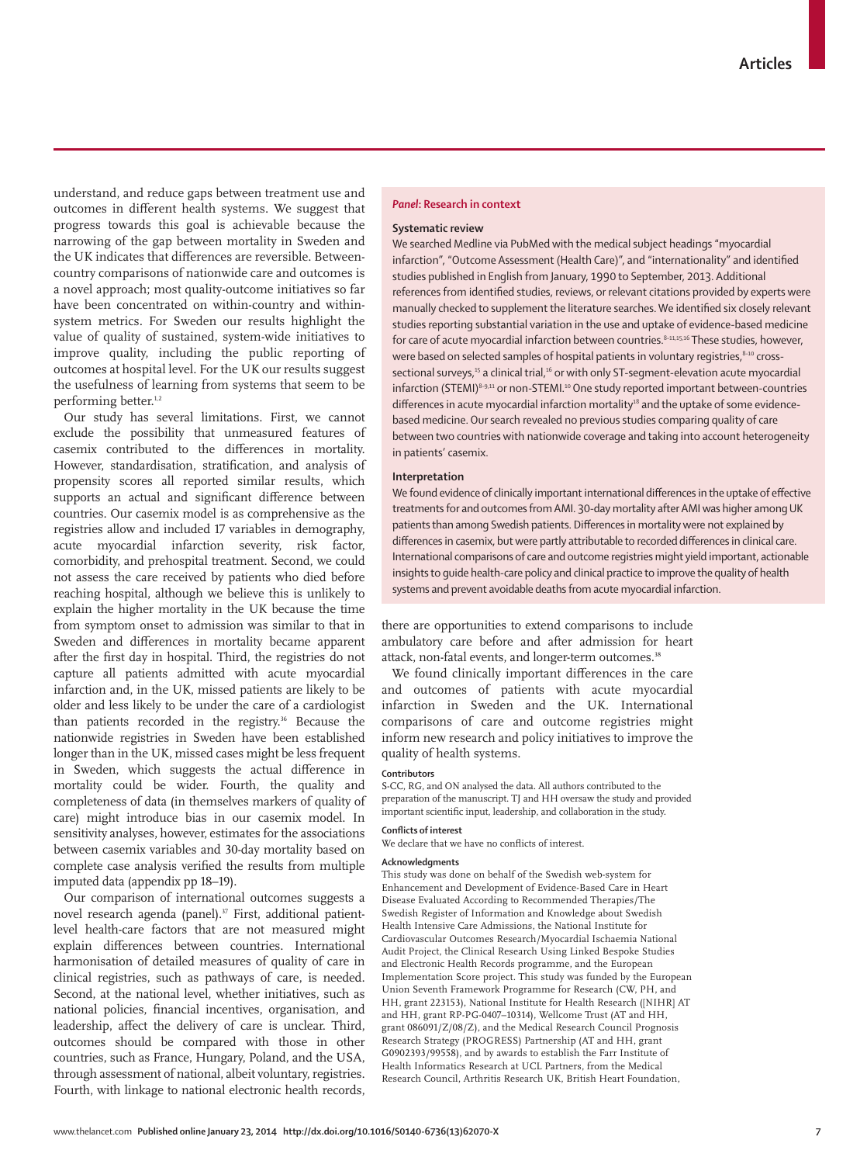understand, and reduce gaps between treatment use and outcomes in different health systems. We suggest that progress towards this goal is achievable because the narrowing of the gap between mortality in Sweden and the UK indicates that differences are reversible. Betweencountry comparisons of nationwide care and outcomes is a novel approach; most quality-outcome initiatives so far have been concentrated on within-country and withinsystem metrics. For Sweden our results highlight the value of quality of sustained, system-wide initiatives to improve quality, including the public reporting of outcomes at hospital level. For the UK our results suggest the usefulness of learning from systems that seem to be performing better.<sup>1,2</sup>

Our study has several limitations. First, we cannot exclude the possibility that unmeasured features of casemix contributed to the differences in mortality. However, standardisation, stratification, and analysis of propensity scores all reported similar results, which supports an actual and significant difference between countries. Our casemix model is as comprehensive as the registries allow and included 17 variables in demography, acute myocardial infarction severity, risk factor, comorbidity, and prehospital treatment. Second, we could not assess the care received by patients who died before reaching hospital, although we believe this is unlikely to explain the higher mortality in the UK because the time from symptom onset to admission was similar to that in Sweden and differences in mortality became apparent after the first day in hospital. Third, the registries do not capture all patients admitted with acute myocardial infarction and, in the UK, missed patients are likely to be older and less likely to be under the care of a cardiologist than patients recorded in the registry.<sup>36</sup> Because the nationwide registries in Sweden have been established longer than in the UK, missed cases might be less frequent in Sweden, which suggests the actual difference in mortality could be wider. Fourth, the quality and completeness of data (in themselves markers of quality of care) might introduce bias in our casemix model. In sensitivity analyses, however, estimates for the associations between casemix variables and 30-day mortality based on complete case analysis verified the results from multiple imputed data (appendix pp 18–19).

Our comparison of international outcomes suggests a novel research agenda (panel).<sup>37</sup> First, additional patientlevel health-care factors that are not measured might explain differences between countries. International harmonisation of detailed measures of quality of care in clinical registries, such as pathways of care, is needed. Second, at the national level, whether initiatives, such as national policies, financial incentives, organisation, and leadership, affect the delivery of care is unclear. Third, outcomes should be compared with those in other countries, such as France, Hungary, Poland, and the USA, through assessment of national, albeit voluntary, registries. Fourth, with linkage to national electronic health records,

### *Panel***: Research in context**

#### **Systematic review**

We searched Medline via PubMed with the medical subject headings "myocardial infarction", "Outcome Assessment (Health Care)", and "internationality" and identified studies published in English from January, 1990 to September, 2013. Additional references from identified studies, reviews, or relevant citations provided by experts were manually checked to supplement the literature searches. We identified six closely relevant studies reporting substantial variation in the use and uptake of evidence-based medicine for care of acute myocardial infarction between countries.<sup>8-11,15,16</sup> These studies, however, were based on selected samples of hospital patients in voluntary registries,<sup>8-10</sup> crosssectional surveys,<sup>15</sup> a clinical trial,<sup>16</sup> or with only ST-segment-elevation acute myocardial infarction (STEMI)<sup>8-9,11</sup> or non-STEMI.<sup>10</sup> One study reported important between-countries differences in acute myocardial infarction mortality<sup>18</sup> and the uptake of some evidencebased medicine. Our search revealed no previous studies comparing quality of care between two countries with nationwide coverage and taking into account heterogeneity in patients' casemix.

#### **Interpretation**

We found evidence of clinically important international differences in the uptake of effective treatments for and outcomes from AMI. 30-day mortality after AMI was higher among UK patients than among Swedish patients. Differences in mortality were not explained by differences in casemix, but were partly attributable to recorded differences in clinical care. International comparisons of care and outcome registries might yield important, actionable insights to guide health-care policy and clinical practice to improve the quality of health systems and prevent avoidable deaths from acute myocardial infarction.

there are opportunities to extend comparisons to include ambulatory care before and after admission for heart attack, non-fatal events, and longer-term outcomes.<sup>38</sup>

We found clinically important differences in the care and outcomes of patients with acute myocardial infarction in Sweden and the UK. International comparisons of care and outcome registries might inform new research and policy initiatives to improve the quality of health systems.

#### **Contributors**

S-CC, RG, and ON analysed the data. All authors contributed to the preparation of the manuscript. TJ and HH oversaw the study and provided important scientific input, leadership, and collaboration in the study.

## **Confl icts of interest**

We declare that we have no conflicts of interest.

#### **Acknowledgments**

This study was done on behalf of the Swedish web-system for Enhancement and Development of Evidence-Based Care in Heart Disease Evaluated According to Recommended Therapies/The Swedish Register of Information and Knowledge about Swedish Health Intensive Care Admissions, the National Institute for Cardiovascular Outcomes Research/Myocardial Ischaemia National Audit Project, the Clinical Research Using Linked Bespoke Studies and Electronic Health Records programme, and the European Implementation Score project. This study was funded by the European Union Seventh Framework Programme for Research (CW, PH, and HH, grant 223153), National Institute for Health Research ([NIHR] AT and HH, grant RP-PG-0407–10314), Wellcome Trust (AT and HH, grant 086091/Z/08/Z), and the Medical Research Council Prognosis Research Strategy (PROGRESS) Partnership (AT and HH, grant G0902393/99558), and by awards to establish the Farr Institute of Health Informatics Research at UCL Partners, from the Medical Research Council, Arthritis Research UK, British Heart Foundation,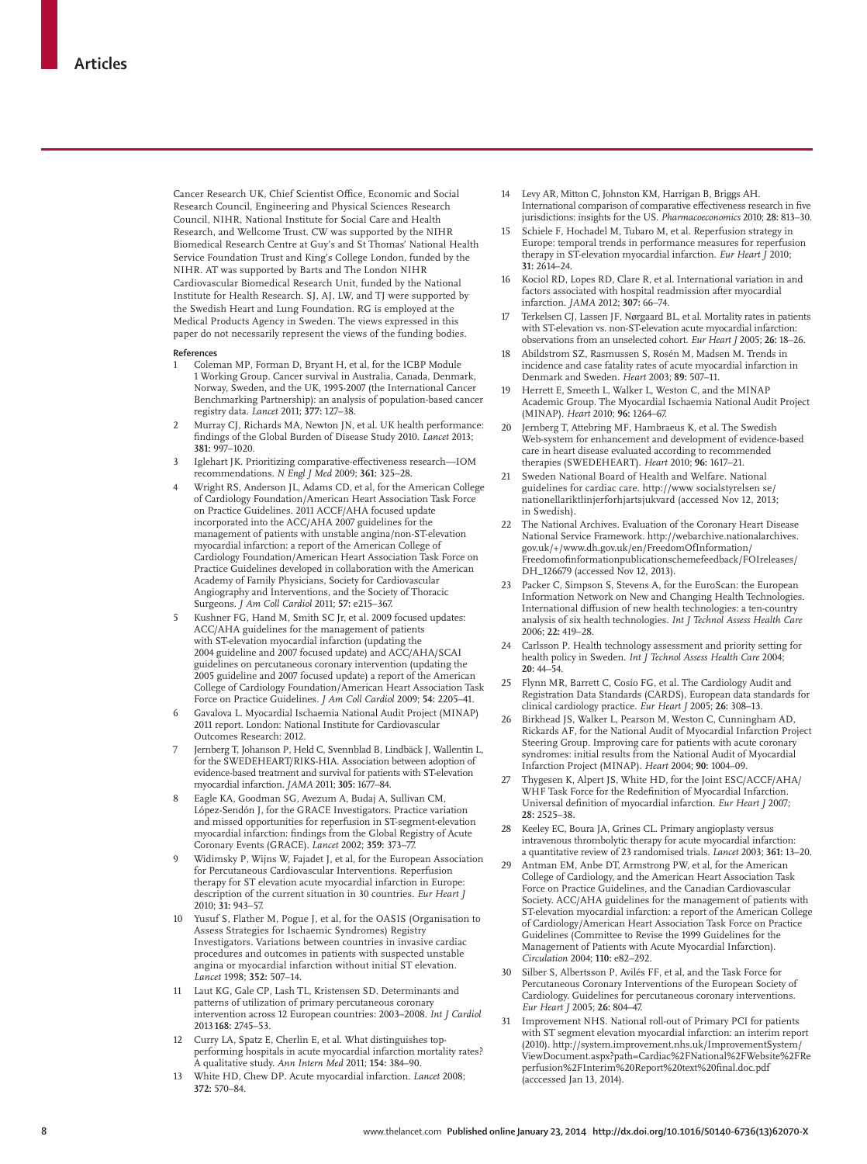Cancer Research UK, Chief Scientist Office, Economic and Social Research Council, Engineering and Physical Sciences Research Council, NIHR, National Institute for Social Care and Health Research, and Wellcome Trust. CW was supported by the NIHR Biomedical Research Centre at Guy's and St Thomas' National Health Service Foundation Trust and King's College London, funded by the NIHR. AT was supported by Barts and The London NIHR Cardiovascular Biomedical Research Unit, funded by the National Institute for Health Research. SJ, AJ, LW, and TJ were supported by the Swedish Heart and Lung Foundation. RG is employed at the Medical Products Agency in Sweden. The views expressed in this paper do not necessarily represent the views of the funding bodies.

#### **References**

- Coleman MP, Forman D, Bryant H, et al, for the ICBP Module 1 Working Group. Cancer survival in Australia, Canada, Denmark, Norway, Sweden, and the UK, 1995-2007 (the International Cancer Benchmarking Partnership): an analysis of population-based cancer registry data. *Lancet* 2011; **377:** 127–38.
- 2 Murray CJ, Richards MA, Newton JN, et al. UK health performance: fi ndings of the Global Burden of Disease Study 2010. *Lancet* 2013; **381:** 997–1020.
- Iglehart JK. Prioritizing comparative-effectiveness research--IOM recommendations. *N Engl J Med* 2009; **361:** 325–28.
- 4 Wright RS, Anderson JL, Adams CD, et al, for the American College of Cardiology Foundation/American Heart Association Task Force on Practice Guidelines. 2011 ACCF/AHA focused update incorporated into the ACC/AHA 2007 guidelines for the management of patients with unstable angina/non-ST-elevation myocardial infarction: a report of the American College of Cardiology Foundation/American Heart Association Task Force on Practice Guidelines developed in collaboration with the American Academy of Family Physicians, Society for Cardiovascular Angiography and Interventions, and the Society of Thoracic Surgeons. *J Am Coll Cardiol* 2011; **57:** e215–367.
- Kushner FG, Hand M, Smith SC Jr, et al. 2009 focused updates: ACC/AHA guidelines for the management of patients with ST-elevation myocardial infarction (updating the 2004 guideline and 2007 focused update) and ACC/AHA/SCAI guidelines on percutaneous coronary intervention (updating the 2005 guideline and 2007 focused update) a report of the American College of Cardiology Foundation/American Heart Association Task Force on Practice Guidelines. *J Am Coll Cardiol* 2009; **54:** 2205–41.
- 6 Gavalova L. Myocardial Ischaemia National Audit Project (MINAP) 2011 report. London: National Institute for Cardiovascular Outcomes Research: 2012.
- 7 Jernberg T, Johanson P, Held C, Svennblad B, Lindbäck J, Wallentin L, for the SWEDEHEART/RIKS-HIA. Association between adoption of evidence-based treatment and survival for patients with ST-elevation myocardial infarction. *JAMA* 2011; **305:** 1677–84.
- 8 Eagle KA, Goodman SG, Avezum A, Budaj A, Sullivan CM, López-Sendón J, for the GRACE Investigators. Practice variation and missed opportunities for reperfusion in ST-segment-elevation myocardial infarction: findings from the Global Registry of Acute Coronary Events (GRACE). *Lancet* 2002; **359:** 373–77.
- 9 Widimsky P, Wijns W, Fajadet J, et al, for the European Association for Percutaneous Cardiovascular Interventions. Reperfusion therapy for ST elevation acute myocardial infarction in Europe: description of the current situation in 30 countries. *Eur Heart J* 2010; **31:** 943–57.
- Yusuf S, Flather M, Pogue J, et al, for the OASIS (Organisation to Assess Strategies for Ischaemic Syndromes) Registry Investigators. Variations between countries in invasive cardiac procedures and outcomes in patients with suspected unstable angina or myocardial infarction without initial ST elevation. *Lancet* 1998; **352:** 507–14.
- 11 Laut KG, Gale CP, Lash TL, Kristensen SD. Determinants and patterns of utilization of primary percutaneous coronary intervention across 12 European countries: 2003–2008. *Int J Cardiol* 2013 **168:** 2745–53.
- Curry LA, Spatz E, Cherlin E, et al. What distinguishes topperforming hospitals in acute myocardial infarction mortality rates? A qualitative study. *Ann Intern Med* 2011; **154:** 384–90.
- 13 White HD, Chew DP. Acute myocardial infarction. *Lancet* 2008; **372:** 570–84.
- Levy AR, Mitton C, Johnston KM, Harrigan B, Briggs AH. International comparison of comparative effectiveness research in five jurisdictions: insights for the US. *Pharmacoeconomics* 2010; **28:** 813–30.
- Schiele F, Hochadel M, Tubaro M, et al. Reperfusion strategy in Europe: temporal trends in performance measures for reperfusion therapy in ST-elevation myocardial infarction. *Eur Heart J* 2010; **31:** 2614–24.
- 16 Kociol RD, Lopes RD, Clare R, et al. International variation in and factors associated with hospital readmission after myocardial infarction. *JAMA* 2012; **307:** 66–74.
- 17 Terkelsen CJ, Lassen JF, Nørgaard BL, et al. Mortality rates in patients with ST-elevation vs. non-ST-elevation acute myocardial infarction: observations from an unselected cohort. *Eur Heart J* 2005; **26:** 18–26.
- 18 Abildstrom SZ, Rasmussen S, Rosén M, Madsen M. Trends in incidence and case fatality rates of acute myocardial infarction in Denmark and Sweden. *Heart* 2003; **89:** 507–11.
- 19 Herrett E, Smeeth L, Walker L, Weston C, and the MINAP Academic Group. The Myocardial Ischaemia National Audit Project (MINAP). *Heart* 2010; **96:** 1264–67.
- 20 Jernberg T, Attebring MF, Hambraeus K, et al. The Swedish Web-system for enhancement and development of evidence-based care in heart disease evaluated according to recommended therapies (SWEDEHEART). *Heart* 2010; **96:** 1617–21.
- 21 Sweden National Board of Health and Welfare. National guidelines for cardiac care. http://www socialstyrelsen se/ nationellariktlinjerforhjartsjukvard (accessed Nov 12, 2013; in Swedish).
- 22 The National Archives. Evaluation of the Coronary Heart Disease National Service Framework. http://webarchive.nationalarchives. gov.uk/+/www.dh.gov.uk/en/FreedomOfInformation/  $\label{thm:reedomof} {\bf Freedom of information publication scheme feedback/FOI releases/}$ DH\_126679 (accessed Nov 12, 2013).
- Packer C, Simpson S, Stevens A, for the EuroScan: the European Information Network on New and Changing Health Technologies. International diffusion of new health technologies: a ten-country analysis of six health technologies. *Int J Technol Assess Health Care* 2006; **22:** 419–28.
- 24 Carlsson P. Health technology assessment and priority setting for health policy in Sweden. *Int J Technol Assess Health Care* 2004; **20:** 44–54.
- 25 Flynn MR, Barrett C, Cosío FG, et al. The Cardiology Audit and Registration Data Standards (CARDS), European data standards for clinical cardiology practice. *Eur Heart J* 2005; **26:** 308–13.
- 26 Birkhead JS, Walker L, Pearson M, Weston C, Cunningham AD, Rickards AF, for the National Audit of Myocardial Infarction Project Steering Group. Improving care for patients with acute coronary syndromes: initial results from the National Audit of Myocardial Infarction Project (MINAP). *Heart* 2004; **90:** 1004–09.
- 27 Thygesen K, Alpert JS, White HD, for the Joint ESC/ACCF/AHA/ WHF Task Force for the Redefinition of Myocardial Infarction. Universal definition of myocardial infarction. *Eur Heart J* 2007; **28:** 2525–38.
- 28 Keeley EC, Boura JA, Grines CL. Primary angioplasty versus intravenous thrombolytic therapy for acute myocardial infarction: a quantitative review of 23 randomised trials. *Lancet* 2003; **361:** 13–20.
- Antman EM, Anbe DT, Armstrong PW, et al, for the American College of Cardiology, and the American Heart Association Task Force on Practice Guidelines, and the Canadian Cardiovascular Society. ACC/AHA guidelines for the management of patients with ST-elevation myocardial infarction: a report of the American College of Cardiology/American Heart Association Task Force on Practice Guidelines (Committee to Revise the 1999 Guidelines for the Management of Patients with Acute Myocardial Infarction). *Circulation* 2004; **110:** e82–292.
- Silber S, Albertsson P, Avilés FF, et al, and the Task Force for Percutaneous Coronary Interventions of the European Society of Cardiology. Guidelines for percutaneous coronary interventions. *Eur Heart J* 2005; **26:** 804–47.
- 31 Improvement NHS. National roll-out of Primary PCI for patients with ST segment elevation myocardial infarction: an interim report (2010). http://system.improvement.nhs.uk/ImprovementSystem/ ViewDocument.aspx?path=Cardiac%2FNational%2FWebsite%2FRe perfusion%2FInterim%20Report%20text%20final.doc.pdf (acccessed Jan 13, 2014).